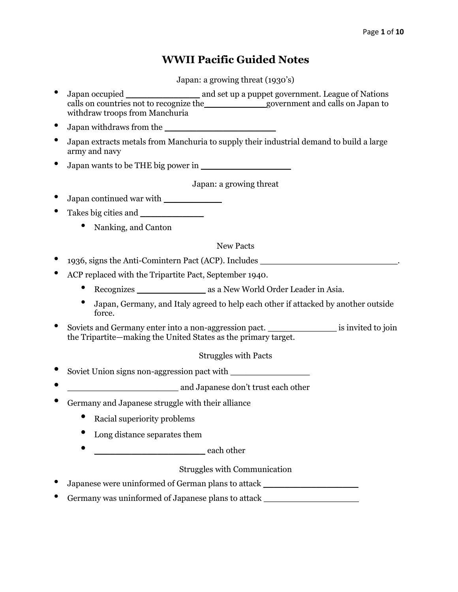# **WWII Pacific Guided Notes**

Japan: a growing threat (1930's)

- Japan occupied \_\_\_\_\_\_\_\_\_\_\_\_\_\_ and set up a puppet government. League of Nations calls on countries not to recognize the government and calls on Japan to withdraw troops from Manchuria
- Japan withdraws from the
- Japan extracts metals from Manchuria to supply their industrial demand to build a large army and navy
- Japan wants to be THE big power in

Japan: a growing threat

- Japan continued war with \_\_\_\_\_\_\_\_\_\_\_
- Takes big cities and \_\_\_\_\_\_\_\_\_\_\_\_
	- Nanking, and Canton

New Pacts

- ergets, signs the Anti-Comintern Pact (ACP). Includes
- ACP replaced with the Tripartite Pact, September 1940.
	- Recognizes as a New World Order Leader in Asia.
	- Japan, Germany, and Italy agreed to help each other if attacked by another outside force.
- Soviets and Germany enter into a non-aggression pact. \_\_\_\_\_\_\_\_\_\_\_\_\_ is invited to join the Tripartite—making the United States as the primary target.

Struggles with Pacts

- Soviet Union signs non-aggression pact with
- **and Japanese don't trust each other**
- Germany and Japanese struggle with their alliance
	- Racial superiority problems
	- Long distance separates them
	- $\bullet$  each other

Struggles with Communication

- Japanese were uninformed of German plans to attack \_\_\_\_\_\_\_\_\_\_\_\_\_\_\_\_\_\_\_\_\_\_\_\_\_\_\_\_\_
- Germany was uninformed of Japanese plans to attack \_\_\_\_\_\_\_\_\_\_\_\_\_\_\_\_\_\_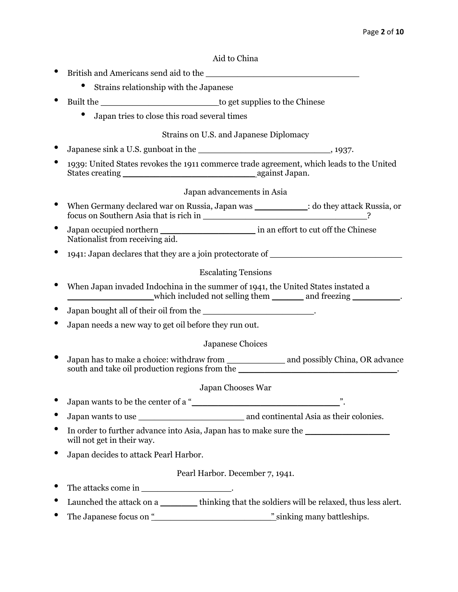#### Aid to China

• British and Americans send aid to the \_\_\_\_\_\_\_\_\_\_\_\_\_\_\_\_\_\_\_\_\_\_\_\_\_\_\_\_\_ • Strains relationship with the Japanese • Built the \_\_\_\_\_\_\_\_\_\_\_\_\_\_\_\_\_\_\_\_\_\_ to get supplies to the Chinese • Japan tries to close this road several times Strains on U.S. and Japanese Diplomacy Japanese sink a U.S. gunboat in the  $\qquad \qquad$ , 1937. • 1939: United States revokes the 1911 commerce trade agreement, which leads to the United States creating \_\_\_\_\_\_\_\_\_\_\_\_\_\_\_\_\_\_\_\_\_\_\_\_\_ against Japan. Japan advancements in Asia • When Germany declared war on Russia, Japan was \_\_\_\_\_\_\_\_\_\_: do they attack Russia, or focus on Southern Asia that is rich in \_\_\_\_\_\_\_\_\_\_\_\_\_\_\_\_\_\_\_\_\_\_\_\_\_\_\_\_\_\_\_? • Japan occupied northern \_\_\_\_\_\_\_\_\_\_\_\_\_\_\_\_\_\_ in an effort to cut off the Chinese Nationalist from receiving aid. • 1941: Japan declares that they are a join protectorate of \_\_\_\_\_\_\_\_\_\_\_\_\_\_\_\_\_\_\_\_\_ Escalating Tensions • When Japan invaded Indochina in the summer of 1941, the United States instated a \_\_\_\_\_\_\_\_\_\_\_\_\_\_\_\_\_\_\_\_\_\_\_which included not selling them \_\_\_\_\_\_\_\_ and freezing \_\_\_\_\_\_\_\_\_\_. • Japan bought all of their oil from the \_\_\_\_\_\_\_\_\_\_\_\_\_\_\_\_\_\_\_\_\_. • Japan needs a new way to get oil before they run out. Japanese Choices • Japan has to make a choice: withdraw from \_\_\_\_\_\_\_\_\_\_\_ and possibly China, OR advance south and take oil production regions from the Japan Chooses War • Japan wants to be the center of a "\_\_\_\_\_\_\_\_\_\_\_\_\_\_\_\_\_\_\_\_\_\_\_\_\_\_\_\_". Japan wants to use their colonies. In order to further advance into Asia, Japan has to make sure the \_\_\_\_\_\_\_\_\_\_\_\_\_\_ will not get in their way. • Japan decides to attack Pearl Harbor. Pearl Harbor. December 7, 1941. The attacks come in  $\blacksquare$ Launched the attack on a  $\qquad \qquad$  thinking that the soldiers will be relaxed, thus less alert. • The Japanese focus on "\_\_\_\_\_\_\_\_\_\_\_\_\_\_\_\_\_\_\_\_\_\_" sinking many battleships.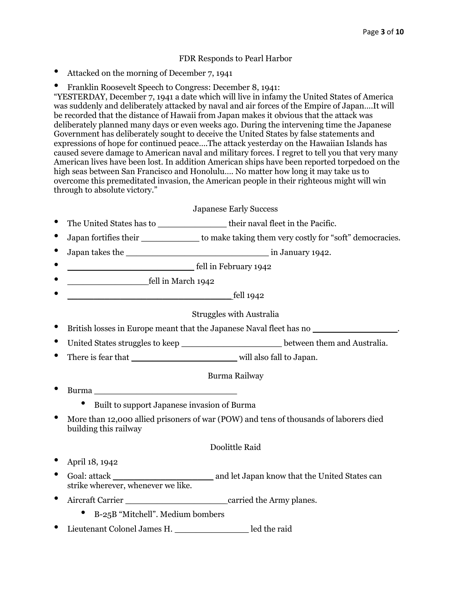#### FDR Responds to Pearl Harbor

- Attacked on the morning of December 7, 1941
- Franklin Roosevelt Speech to Congress: December 8, 1941:

"YESTERDAY, December 7, 1941 a date which will live in infamy the United States of America was suddenly and deliberately attacked by naval and air forces of the Empire of Japan….It will be recorded that the distance of Hawaii from Japan makes it obvious that the attack was deliberately planned many days or even weeks ago. During the intervening time the Japanese Government has deliberately sought to deceive the United States by false statements and expressions of hope for continued peace….The attack yesterday on the Hawaiian Islands has caused severe damage to American naval and military forces. I regret to tell you that very many American lives have been lost. In addition American ships have been reported torpedoed on the high seas between San Francisco and Honolulu…. No matter how long it may take us to overcome this premeditated invasion, the American people in their righteous might will win through to absolute victory."

#### Japanese Early Success

- The United States has to \_\_\_\_\_\_\_\_\_\_\_\_\_ their naval fleet in the Pacific.
- Japan fortifies their \_\_\_\_\_\_\_\_\_\_\_\_\_\_ to make taking them very costly for "soft" democracies.
- Japan takes the \_\_\_\_\_\_\_\_\_\_\_\_\_\_\_\_\_\_\_\_\_\_\_\_\_\_\_ in January 1942.
- **discriming the example of the set of the set of the set of the set of the set of the set of the set of the set of the set of the set of the set of the set of the set of the set of the set of the set of the set of the se**
- **• fell in March 1942**
- $\qquad \qquad \text{ fell } 1942$

#### Struggles with Australia

- British losses in Europe meant that the Japanese Naval fleet has no **with the Lapanese** Naval fleet has no **with the Lapanese** Naval fleet has no **with the Lapanese**  $\frac{1}{2}$ .
- United States struggles to keep \_\_\_\_\_\_\_\_\_\_\_\_\_\_\_\_\_\_\_\_\_\_\_\_\_\_\_\_between them and Australia.
- There is fear that \_\_\_\_\_\_\_\_\_\_\_\_\_\_\_\_\_\_\_\_ will also fall to Japan.

#### Burma Railway

- Burma \_\_\_\_\_\_\_\_\_\_\_\_\_\_\_\_\_\_\_\_\_\_\_\_\_\_\_
	- Built to support Japanese invasion of Burma
- More than 12,000 allied prisoners of war (POW) and tens of thousands of laborers died building this railway

#### Doolittle Raid

- April 18, 1942
- Goal: attack \_\_\_\_\_\_\_\_\_\_\_\_\_\_\_\_\_\_\_ and let Japan know that the United States can strike wherever, whenever we like.
- Aircraft Carrier **and Carrier and Carrier carried the Army planes.** 
	- B-25B "Mitchell". Medium bombers
- Lieutenant Colonel James H. \_\_\_\_\_\_\_\_\_\_\_\_\_\_ led the raid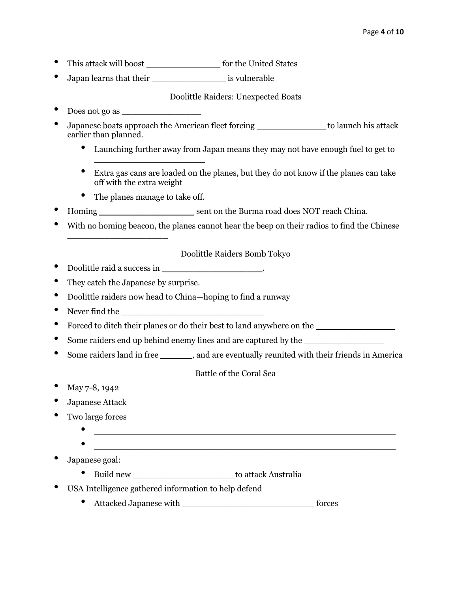- This attack will boost \_\_\_\_\_\_\_\_\_\_\_\_\_\_ for the United States
- Japan learns that their \_\_\_\_\_\_\_\_\_\_\_\_\_\_ is vulnerable

Doolittle Raiders: Unexpected Boats

- Does not go as \_\_\_\_\_\_\_\_\_\_\_\_\_\_\_
- Japanese boats approach the American fleet forcing to launch his attack earlier than planned.
	- Launching further away from Japan means they may not have enough fuel to get to
	- Extra gas cans are loaded on the planes, but they do not know if the planes can take off with the extra weight
	- The planes manage to take off.

 $\overline{\phantom{a}}$  , where  $\overline{\phantom{a}}$  , where  $\overline{\phantom{a}}$  , where  $\overline{\phantom{a}}$ 

- Homing \_\_\_\_\_\_\_\_\_\_\_\_\_\_\_\_\_\_ sent on the Burma road does NOT reach China.
- With no homing beacon, the planes cannot hear the beep on their radios to find the Chinese

## Doolittle Raiders Bomb Tokyo

• Doolittle raid a success in  $\cdot$ .

 $\overline{\phantom{a}}$  , where  $\overline{\phantom{a}}$  , where  $\overline{\phantom{a}}$ 

- They catch the Japanese by surprise.
- Doolittle raiders now head to China—hoping to find a runway
- Never find the
- Forced to ditch their planes or do their best to land anywhere on the \_\_\_\_\_\_\_\_\_\_\_\_\_\_\_
- Some raiders end up behind enemy lines and are captured by the  $\Box$
- Some raiders land in free subsetequents and are eventually reunited with their friends in America

Battle of the Coral Sea

- May 7-8, 1942
- Japanese Attack
- Two large forces
	- -
	- Japanese goal:
		- Build new \_\_\_\_\_\_\_\_\_\_\_\_\_\_\_\_\_\_\_ to attack Australia
	- USA Intelligence gathered information to help defend
		- Attacked Japanese with \_\_\_\_\_\_\_\_\_\_\_\_\_\_\_\_\_\_\_\_\_\_\_\_\_ forces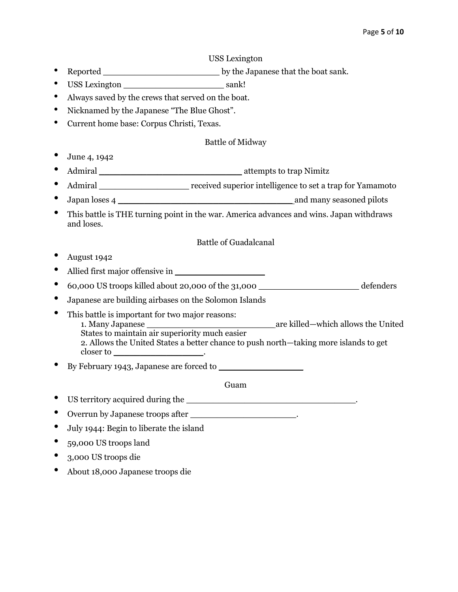#### USS Lexington

- Reported \_\_\_\_\_\_\_\_\_\_\_\_\_\_\_\_\_\_\_\_\_\_ by the Japanese that the boat sank.
- USS Lexington sank!
- Always saved by the crews that served on the boat.
- Nicknamed by the Japanese "The Blue Ghost".
- Current home base: Corpus Christi, Texas.

#### Battle of Midway

- June 4, 1942
- Admiral \_\_\_\_\_\_\_\_\_\_\_\_\_\_\_\_\_\_\_\_\_\_\_\_\_\_\_ attempts to trap Nimitz
- Admiral **Admiral** received superior intelligence to set a trap for Yamamoto
- Japan loses 4 \_\_\_\_\_\_\_\_\_\_\_\_\_\_\_\_\_\_\_\_\_\_\_\_\_\_\_\_\_\_\_\_\_ and many seasoned pilots
- This battle is THE turning point in the war. America advances and wins. Japan withdraws and loses.

## Battle of Guadalcanal

- August 1942
- Allied first major offensive in \_\_\_\_\_\_\_\_\_\_\_\_\_\_\_\_\_
- 60,000 US troops killed about 20,000 of the 31,000 \_\_\_\_\_\_\_\_\_\_\_\_\_\_\_\_\_\_\_ defenders
- Japanese are building airbases on the Solomon Islands
- This battle is important for two major reasons: 1. Many Japanese \_\_\_\_\_\_\_\_\_\_\_\_\_\_\_\_\_\_\_\_\_\_\_\_ are killed—which allows the United States to maintain air superiority much easier 2. Allows the United States a better chance to push north—taking more islands to get closer to \_\_\_\_\_\_\_\_\_\_\_\_\_\_\_\_\_\_\_\_\_\_\_\_\_\_\_.
- By February 1943, Japanese are forced to \_\_\_\_\_\_\_\_\_\_\_\_\_\_\_\_

Guam

• US territory acquired during the \_\_\_\_\_\_\_\_\_\_\_\_\_\_\_\_\_\_\_\_\_\_\_\_\_\_\_\_\_\_\_\_.

# • Overrun by Japanese troops after \_\_\_\_\_\_\_\_\_\_\_\_\_\_\_\_\_\_\_\_\_.

- July 1944: Begin to liberate the island
- 59,000 US troops land
- 3,000 US troops die
- About 18,000 Japanese troops die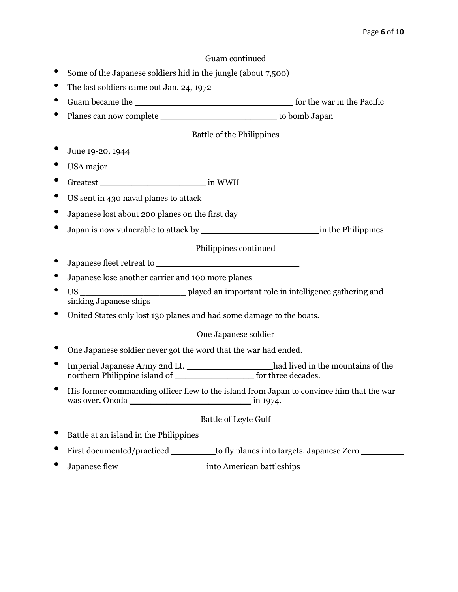#### Guam continued

- Some of the Japanese soldiers hid in the jungle (about 7,500)
- The last soldiers came out Jan. 24, 1972
- Guam became the \_\_\_\_\_\_\_\_\_\_\_\_\_\_\_\_\_\_\_\_\_\_\_\_\_\_\_\_\_\_ for the war in the Pacific
- Planes can now complete to bomb Japan

#### Battle of the Philippines

- June 19-20, 1944
- USA major \_\_\_\_\_\_\_\_\_\_\_\_\_\_\_\_\_\_\_\_\_\_
- Greatest \_\_\_\_\_\_\_\_\_\_\_\_\_\_\_\_\_\_\_\_ in WWII
- US sent in 430 naval planes to attack
- Japanese lost about 200 planes on the first day
- Japan is now vulnerable to attack by \_\_\_\_\_\_\_\_\_\_\_\_\_\_\_\_\_\_\_\_\_\_ in the Philippines

# Philippines continued

- Japanese fleet retreat to
- Japanese lose another carrier and 100 more planes
- US \_\_\_\_\_\_\_\_\_\_\_\_\_\_\_\_\_\_\_\_ played an important role in intelligence gathering and sinking Japanese ships
- United States only lost 130 planes and had some damage to the boats.

#### One Japanese soldier

- One Japanese soldier never got the word that the war had ended.
- Imperial Japanese Army 2nd Lt. \_\_\_\_\_\_\_\_\_\_\_\_\_\_\_\_ had lived in the mountains of the northern Philippine island of \_\_\_\_\_\_\_\_\_\_\_\_\_\_\_ for three decades.
- His former commanding officer flew to the island from Japan to convince him that the war was over. Onoda \_\_\_\_\_\_\_\_\_\_\_\_\_\_\_\_\_\_\_\_\_\_\_ in 1974.

#### Battle of Leyte Gulf

- Battle at an island in the Philippines
- First documented/practiced \_\_\_\_\_\_\_\_ to fly planes into targets. Japanese Zero \_\_\_\_\_\_\_\_
- Japanese flew \_\_\_\_\_\_\_\_\_\_\_\_\_\_\_\_ into American battleships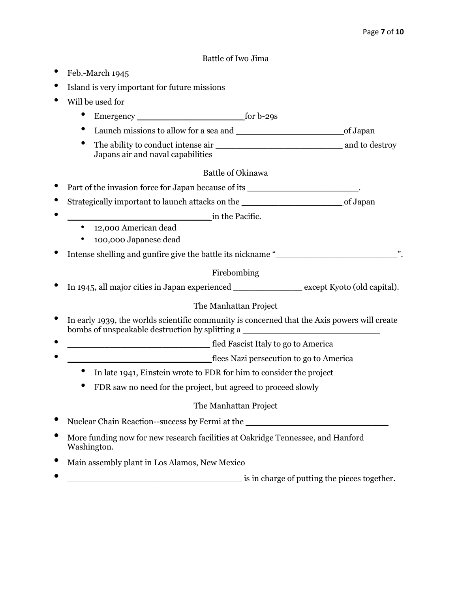#### Battle of Iwo Jima

- Feb.-March 1945
- Island is very important for future missions
- Will be used for
	- Emergency \_\_\_\_\_\_\_\_\_\_\_\_\_\_\_\_\_\_\_\_ for b-29s
	- Launch missions to allow for a sea and \_\_\_\_\_\_\_\_\_\_\_\_\_\_\_\_\_\_\_\_ of Japan
	- The ability to conduct intense air \_\_\_\_\_\_\_\_\_\_\_\_\_\_\_\_\_\_\_\_\_\_\_\_ and to destroy Japans air and naval capabilities

#### Battle of Okinawa

- Part of the invasion force for Japan because of its \_\_\_\_\_\_\_\_\_\_\_\_\_\_\_\_\_\_\_\_\_.
- Strategically important to launch attacks on the strategical control of Japan
- $\blacksquare$  in the Pacific.
	- 12,000 American dead
	- 100,000 Japanese dead
- Intense shelling and gunfire give the battle its nickname  $\frac{u}{2}$  [2008] The shelling and gunfire give the battle its nickname  $\frac{u}{2}$  [2008] The shelling and gunfire give the battle its nickname  $\frac{u}{2}$  [2008] The s

## Firebombing

• In 1945, all major cities in Japan experienced \_\_\_\_\_\_\_\_\_\_\_\_\_ except Kyoto (old capital).

## The Manhattan Project

- In early 1939, the worlds scientific community is concerned that the Axis powers will create bombs of unspeakable destruction by splitting a
- \_\_\_\_\_\_\_\_\_\_\_\_\_\_\_\_\_\_\_\_\_\_\_\_\_\_\_ fled Fascist Italy to go to America
- \_\_\_\_\_\_\_\_\_\_\_\_\_\_\_\_\_\_\_\_\_\_\_\_\_\_\_ flees Nazi persecution to go to America
	- In late 1941, Einstein wrote to FDR for him to consider the project
	- FDR saw no need for the project, but agreed to proceed slowly

## The Manhattan Project

- Nuclear Chain Reaction--success by Fermi at the
- More funding now for new research facilities at Oakridge Tennessee, and Hanford Washington.
- Main assembly plant in Los Alamos, New Mexico
- is in charge of putting the pieces together.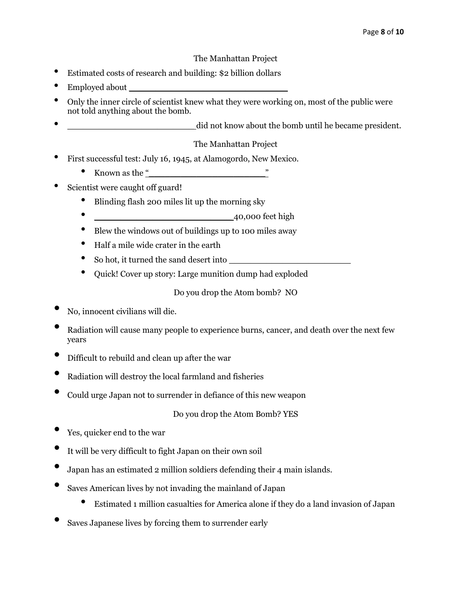#### The Manhattan Project

- Estimated costs of research and building: \$2 billion dollars
- Employed about
- Only the inner circle of scientist knew what they were working on, most of the public were not told anything about the bomb.
- did not know about the bomb until he became president.

## The Manhattan Project

- First successful test: July 16, 1945, at Alamogordo, New Mexico.
	- Known as the "
- Scientist were caught off guard!
	- Blinding flash 200 miles lit up the morning sky
	- \_\_\_\_\_\_\_\_\_\_\_\_\_\_\_\_\_\_\_\_\_\_\_\_\_\_ 40,000 feet high
	- Blew the windows out of buildings up to 100 miles away
	- Half a mile wide crater in the earth
	- So hot, it turned the sand desert into
	- Quick! Cover up story: Large munition dump had exploded

Do you drop the Atom bomb? NO

- No, innocent civilians will die.
- Radiation will cause many people to experience burns, cancer, and death over the next few years
- Difficult to rebuild and clean up after the war
- Radiation will destroy the local farmland and fisheries
- Could urge Japan not to surrender in defiance of this new weapon

Do you drop the Atom Bomb? YES

- Yes, quicker end to the war
- It will be very difficult to fight Japan on their own soil
- Japan has an estimated 2 million soldiers defending their 4 main islands.
- Saves American lives by not invading the mainland of Japan
	- Estimated 1 million casualties for America alone if they do a land invasion of Japan
- Saves Japanese lives by forcing them to surrender early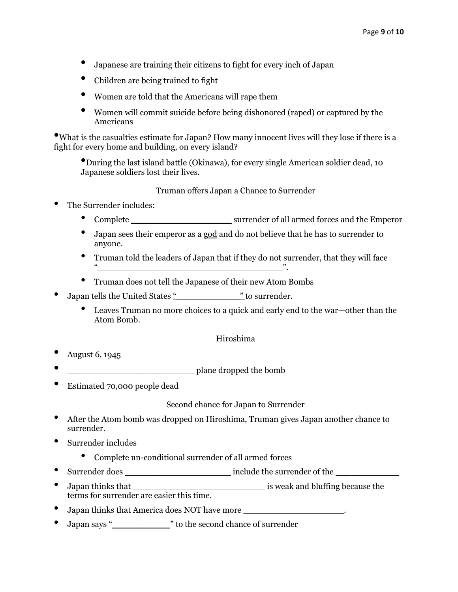- Japanese are training their citizens to fight for every inch of Japan
- Children are being trained to fight
- Women are told that the Americans will rape them
- Women will commit suicide before being dishonored (raped) or captured by the Americans

•What is the casualties estimate for Japan? How many innocent lives will they lose if there is a fight for every home and building, on every island?

•During the last island battle (Okinawa), for every single American soldier dead, 10 Japanese soldiers lost their lives.

Truman offers Japan a Chance to Surrender

- The Surrender includes:
	- Complete surrender of all armed forces and the Emperor
	- Japan sees their emperor as a god and do not believe that he has to surrender to anyone.
	- Truman told the leaders of Japan that if they do not surrender, that they will face "\_\_\_\_\_\_\_\_\_\_\_\_\_\_\_\_\_\_\_\_\_\_\_\_\_\_\_\_\_\_\_\_\_\_\_".
	- Truman does not tell the Japanese of their new Atom Bombs
- Japan tells the United States "  $\blacksquare$  " to surrender.
	- Leaves Truman no more choices to a quick and early end to the war—other than the Atom Bomb.

#### Hiroshima

- August 6, 1945
- **\_\_\_\_\_\_\_\_\_\_\_\_\_\_\_\_\_\_\_\_\_\_\_\_\_\_** plane dropped the bomb
- Estimated 70,000 people dead

Second chance for Japan to Surrender

- After the Atom bomb was dropped on Hiroshima, Truman gives Japan another chance to surrender.
- Surrender includes
	- Complete un-conditional surrender of all armed forces
- Surrender does \_\_\_\_\_\_\_\_\_\_\_\_\_\_\_\_\_\_\_\_ include the surrender of the \_\_\_\_\_\_\_\_\_\_\_\_
- Japan thinks that *Japan thinks* that  $\frac{1}{2}$  is weak and bluffing because the terms for surrender are easier this time.
- Japan thinks that America does NOT have more \_\_\_\_\_\_\_\_\_\_\_\_\_\_\_\_\_\_\_\_\_\_\_\_\_\_\_\_\_\_\_\_\_\_\_
- Japan says "<sup>"</sup> to the second chance of surrender